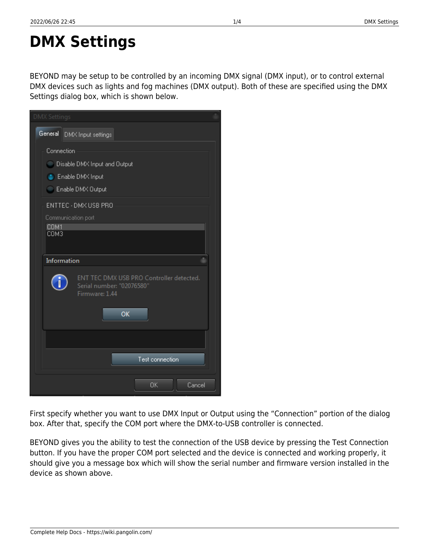# **DMX Settings**

BEYOND may be setup to be controlled by an incoming DMX signal (DMX input), or to control external DMX devices such as lights and fog machines (DMX output). Both of these are specified using the DMX Settings dialog box, which is shown below.

|                                                                                     | ד סטרעטו וווסטעוטו ד |                                                                                                        |
|-------------------------------------------------------------------------------------|----------------------|--------------------------------------------------------------------------------------------------------|
|                                                                                     | ОK<br>Cancel         |                                                                                                        |
| box. After that, specify the COM port where the DMX-to-USB controller is connected. |                      | First specify whether you want to use DMX Input or Output using the "Connection" portion of the dialog |

BEYOND gives you the ability to test the connection of the USB device by pressing the Test Connection button. If you have the proper COM port selected and the device is connected and working properly, it should give you a message box which will show the serial number and firmware version installed in the device as shown above.

| <b>DMX Settings</b> |                                                                                               |
|---------------------|-----------------------------------------------------------------------------------------------|
|                     | General DMX Input settings                                                                    |
|                     | Connection<br>Disable DMX Input and Output<br>C Enable DMX Input<br>Enable DMX Output         |
| COM1<br>COM3        | ENTTEC - DMX USB PRO<br>Communication port                                                    |
|                     | Information                                                                                   |
|                     | ENT TEC DMX USB PRO Controller detected.<br>Serial number: "02076580"<br>Firmware: 1.44<br>OK |
|                     |                                                                                               |
|                     | Test connection                                                                               |
|                     | ОK<br>Cancel                                                                                  |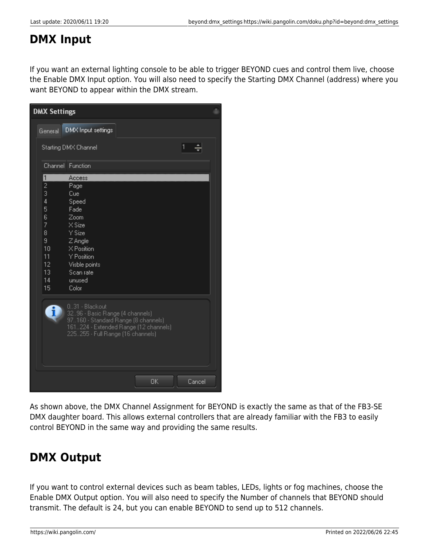## **DMX Input**

If you want an external lighting console to be able to trigger BEYOND cues and control them live, choose the Enable DMX Input option. You will also need to specify the Starting DMX Channel (address) where you want BEYOND to appear within the DMX stream.

| <b>DMX Settings</b>                                                                        |                                                                                                                                                                        |           |        |  |
|--------------------------------------------------------------------------------------------|------------------------------------------------------------------------------------------------------------------------------------------------------------------------|-----------|--------|--|
| General                                                                                    | DMX Input settings                                                                                                                                                     |           |        |  |
|                                                                                            | Starting DMX Channel                                                                                                                                                   |           | 1      |  |
|                                                                                            | Channel Function                                                                                                                                                       |           |        |  |
| ī<br>2<br>3<br>$\overline{4}$<br>5<br>6<br>7<br>8<br>9<br>10<br>11<br>12<br>13<br>14<br>15 | Access<br>Page<br>Cue<br>Speed<br>Fade<br>Zoom<br>X Size<br>Y Size<br>Z Angle<br>X Position<br>Y Position<br>Visble points<br>Scan rate<br>unused<br>Color             |           |        |  |
|                                                                                            | 031 - Blackout<br>3296 - Basic Range (4 channels)<br>97160 - Standard Range (8 channels)<br>161224 - Extended Range (12 channels)<br>225255 - Full Range (16 channels) |           |        |  |
|                                                                                            |                                                                                                                                                                        | <b>OK</b> | Cancel |  |

As shown above, the DMX Channel Assignment for BEYOND is exactly the same as that of the FB3-SE DMX daughter board. This allows external controllers that are already familiar with the FB3 to easily control BEYOND in the same way and providing the same results.

# **DMX Output**

If you want to control external devices such as beam tables, LEDs, lights or fog machines, choose the Enable DMX Output option. You will also need to specify the Number of channels that BEYOND should transmit. The default is 24, but you can enable BEYOND to send up to 512 channels.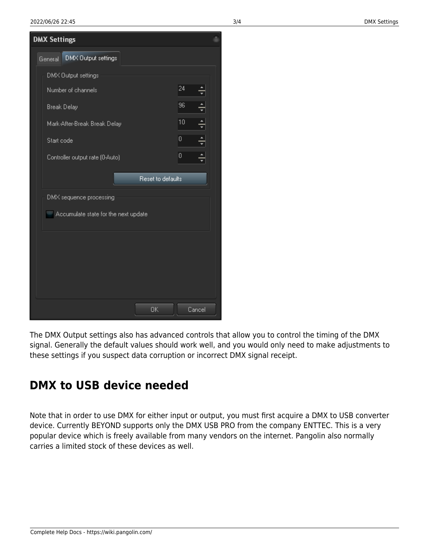| <b>DMX Settings</b>                  |        |   |  |  |
|--------------------------------------|--------|---|--|--|
| DMX Output settings<br>General       |        |   |  |  |
| DMX Output settings                  |        |   |  |  |
| Number of channels                   | 24     |   |  |  |
| <b>Break Delay</b>                   | 96     | ≑ |  |  |
| Mark-After-Break Break Delay         | 10     | ÷ |  |  |
| Start code                           | 0      | ÷ |  |  |
| Controller output rate (0-Auto)      | 0      |   |  |  |
| Reset to defaults                    |        |   |  |  |
| DMX sequence processing              |        |   |  |  |
| Accumulate state for the next update |        |   |  |  |
|                                      |        |   |  |  |
|                                      |        |   |  |  |
|                                      |        |   |  |  |
|                                      |        |   |  |  |
|                                      |        |   |  |  |
| 0K                                   | Cancel |   |  |  |

The DMX Output settings also has advanced controls that allow you to control the timing of the DMX signal. Generally the default values should work well, and you would only need to make adjustments to these settings if you suspect data corruption or incorrect DMX signal receipt.

## **DMX to USB device needed**

Note that in order to use DMX for either input or output, you must first acquire a DMX to USB converter device. Currently BEYOND supports only the DMX USB PRO from the company ENTTEC. This is a very popular device which is freely available from many vendors on the internet. Pangolin also normally carries a limited stock of these devices as well.